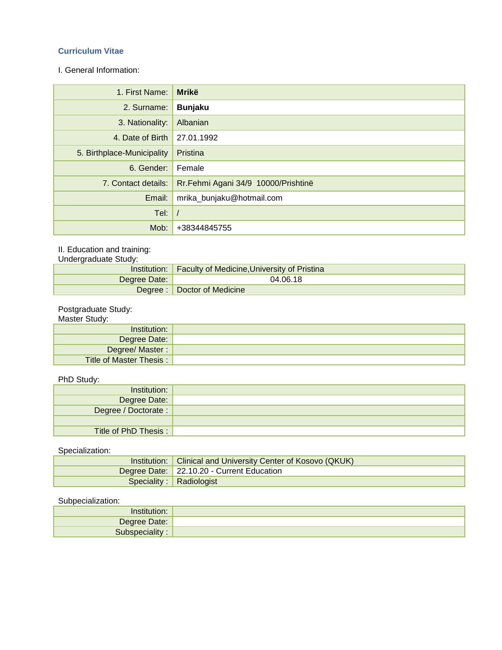# **Curriculum Vitae**

I. General Information:

| 1. First Name:             | <b>Mrikë</b>                        |
|----------------------------|-------------------------------------|
| 2. Surname:                | <b>Bunjaku</b>                      |
| 3. Nationality:            | Albanian                            |
| 4. Date of Birth           | 27.01.1992                          |
| 5. Birthplace-Municipality | Pristina                            |
| 6. Gender:                 | Female                              |
| 7. Contact details:        | Rr.Fehmi Agani 34/9 10000/Prishtinë |
| Email:                     | mrika_bunjaku@hotmail.com           |
| Tel:                       |                                     |
| Mob:                       | +38344845755                        |

# II. Education and training:

| Undergraduate Study: |                                                            |  |  |
|----------------------|------------------------------------------------------------|--|--|
|                      | Institution:   Faculty of Medicine, University of Pristina |  |  |
| Degree Date:         | 04.06.18                                                   |  |  |
|                      | Degree: Doctor of Medicine                                 |  |  |

#### Postgraduate Study:

#### Master Study:

| Institution:            |  |
|-------------------------|--|
| Degree Date:            |  |
| Degree/ Master:         |  |
| Title of Master Thesis: |  |

#### PhD Study:

| Institution:         |  |
|----------------------|--|
| Degree Date:         |  |
| Degree / Doctorate : |  |
|                      |  |
| Title of PhD Thesis: |  |

# Specialization:

| Institution:   Clinical and University Center of Kosovo (QKUK) |  |
|----------------------------------------------------------------|--|
| Degree Date: 22.10.20 - Current Education                      |  |
| Speciality: Radiologist                                        |  |

### Subpecialization:

| 'nstitution: ' |  |
|----------------|--|
| Degree Date:   |  |
| Subspeciality: |  |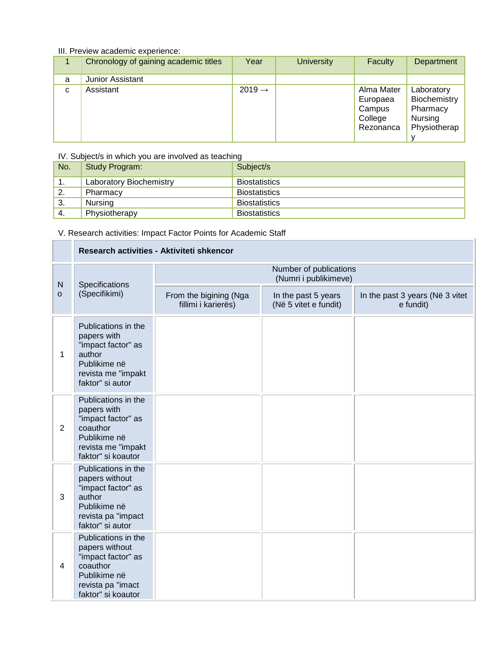# III. Preview academic experience:

|   | Chronology of gaining academic titles | Year               | <b>University</b> | Faculty                                                  | Department                                                        |
|---|---------------------------------------|--------------------|-------------------|----------------------------------------------------------|-------------------------------------------------------------------|
| a | <b>Junior Assistant</b>               |                    |                   |                                                          |                                                                   |
| C | Assistant                             | $2019 \rightarrow$ |                   | Alma Mater<br>Europaea<br>Campus<br>College<br>Rezonanca | Laboratory<br>Biochemistry<br>Pharmacy<br>Nursing<br>Physiotherap |

#### IV. Subject/s in which you are involved as teaching

| No. | Study Program:          | Subject/s            |
|-----|-------------------------|----------------------|
| ь.  | Laboratory Biochemistry | <b>Biostatistics</b> |
| 2.  | Pharmacy                | <b>Biostatistics</b> |
| -3. | Nursing                 | <b>Biostatistics</b> |
| -4. | Physiotherapy           | <b>Biostatistics</b> |

# V. Research activities: Impact Factor Points for Academic Staff

|                | Research activities - Aktiviteti shkencor                                                                                          |                                                 |                                              |                                              |  |
|----------------|------------------------------------------------------------------------------------------------------------------------------------|-------------------------------------------------|----------------------------------------------|----------------------------------------------|--|
| $\mathsf{N}$   | Specifications<br>(Specifikimi)                                                                                                    | Number of publications<br>(Numri i publikimeve) |                                              |                                              |  |
| $\circ$        |                                                                                                                                    | From the bigining (Nga<br>fillimi i karierës)   | In the past 5 years<br>(Në 5 vitet e fundit) | In the past 3 years (Në 3 vitet<br>e fundit) |  |
| 1              | Publications in the<br>papers with<br>"impact factor" as<br>author<br>Publikime në<br>revista me "impakt<br>faktor" si autor       |                                                 |                                              |                                              |  |
| $\overline{2}$ | Publications in the<br>papers with<br>"impact factor" as<br>coauthor<br>Publikime në<br>revista me "impakt<br>faktor" si koautor   |                                                 |                                              |                                              |  |
| 3              | Publications in the<br>papers without<br>"impact factor" as<br>author<br>Publikime në<br>revista pa "impact<br>faktor" si autor    |                                                 |                                              |                                              |  |
| 4              | Publications in the<br>papers without<br>"impact factor" as<br>coauthor<br>Publikime në<br>revista pa "imact<br>faktor" si koautor |                                                 |                                              |                                              |  |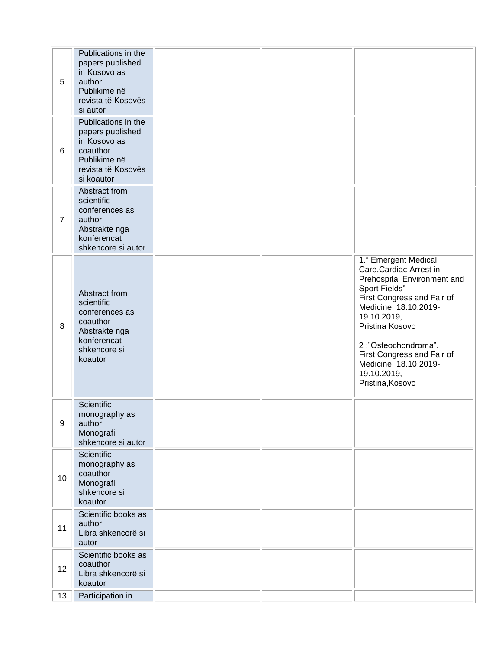| 5              | Publications in the<br>papers published<br>in Kosovo as<br>author<br>Publikime në<br>revista të Kosovës<br>si autor     |  |                                                                                                                                                                                                                                                                                                           |
|----------------|-------------------------------------------------------------------------------------------------------------------------|--|-----------------------------------------------------------------------------------------------------------------------------------------------------------------------------------------------------------------------------------------------------------------------------------------------------------|
| 6              | Publications in the<br>papers published<br>in Kosovo as<br>coauthor<br>Publikime në<br>revista të Kosovës<br>si koautor |  |                                                                                                                                                                                                                                                                                                           |
| $\overline{7}$ | Abstract from<br>scientific<br>conferences as<br>author<br>Abstrakte nga<br>konferencat<br>shkencore si autor           |  |                                                                                                                                                                                                                                                                                                           |
| 8              | Abstract from<br>scientific<br>conferences as<br>coauthor<br>Abstrakte nga<br>konferencat<br>shkencore si<br>koautor    |  | 1." Emergent Medical<br>Care, Cardiac Arrest in<br>Prehospital Environment and<br>Sport Fields"<br>First Congress and Fair of<br>Medicine, 18.10.2019-<br>19.10.2019,<br>Pristina Kosovo<br>2:"Osteochondroma".<br>First Congress and Fair of<br>Medicine, 18.10.2019-<br>19.10.2019,<br>Pristina, Kosovo |
| 9              | Scientific<br>monography as<br>author<br>Monografi<br>shkencore si autor                                                |  |                                                                                                                                                                                                                                                                                                           |
| 10             | Scientific<br>monography as<br>coauthor<br>Monografi<br>shkencore si<br>koautor                                         |  |                                                                                                                                                                                                                                                                                                           |
| 11             | Scientific books as<br>author<br>Libra shkencorë si<br>autor                                                            |  |                                                                                                                                                                                                                                                                                                           |
| 12             | Scientific books as<br>coauthor<br>Libra shkencorë si<br>koautor                                                        |  |                                                                                                                                                                                                                                                                                                           |
| 13             | Participation in                                                                                                        |  |                                                                                                                                                                                                                                                                                                           |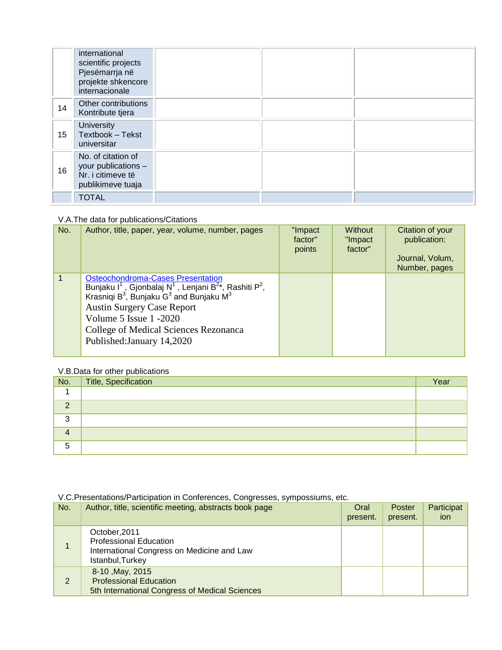|    | international<br>scientific projects<br>Pjesëmarrja në<br>projekte shkencore<br>internacionale |  |  |
|----|------------------------------------------------------------------------------------------------|--|--|
| 14 | Other contributions<br>Kontribute tjera                                                        |  |  |
| 15 | <b>University</b><br>Textbook - Tekst<br>universitar                                           |  |  |
| 16 | No. of citation of<br>your publications -<br>Nr. i citimeve të<br>publikimeve tuaja            |  |  |
|    | <b>TOTAL</b>                                                                                   |  |  |

### V.A.The data for publications/Citations

| No.            | Author, title, paper, year, volume, number, pages                                                                                                                                                                                                                                                                                                                       | "Impact<br>factor"<br>points | <b>Without</b><br>"Impact<br>factor" | Citation of your<br>publication:<br>Journal, Volum,<br>Number, pages |
|----------------|-------------------------------------------------------------------------------------------------------------------------------------------------------------------------------------------------------------------------------------------------------------------------------------------------------------------------------------------------------------------------|------------------------------|--------------------------------------|----------------------------------------------------------------------|
| $\overline{1}$ | <b>Osteochondroma-Cases Presentation</b><br>Bunjaku I <sup>1</sup> , Gjonbalaj N <sup>1</sup> , Lenjani B <sup>2</sup> *, Rashiti P <sup>2</sup> ,<br>Krasniqi B <sup>3</sup> , Bunjaku G <sup>3</sup> and Bunjaku M <sup>3</sup><br><b>Austin Surgery Case Report</b><br>Volume 5 Issue 1 -2020<br>College of Medical Sciences Rezonanca<br>Published: January 14,2020 |                              |                                      |                                                                      |

# V.B.Data for other publications

| No.      | Title, Specification | Year |
|----------|----------------------|------|
|          |                      |      |
| $\Omega$ |                      |      |
| 3        |                      |      |
| 4        |                      |      |
| 5        |                      |      |

# V.C.Presentations/Participation in Conferences, Congresses, sympossiums, etc.

| No. | Author, title, scientific meeting, abstracts book page                                                           | Oral<br>present. | Poster<br>present. | Participat<br>ion |
|-----|------------------------------------------------------------------------------------------------------------------|------------------|--------------------|-------------------|
|     | October, 2011<br><b>Professional Education</b><br>International Congress on Medicine and Law<br>Istanbul, Turkey |                  |                    |                   |
| 2   | 8-10, May, 2015<br><b>Professional Education</b><br>5th International Congress of Medical Sciences               |                  |                    |                   |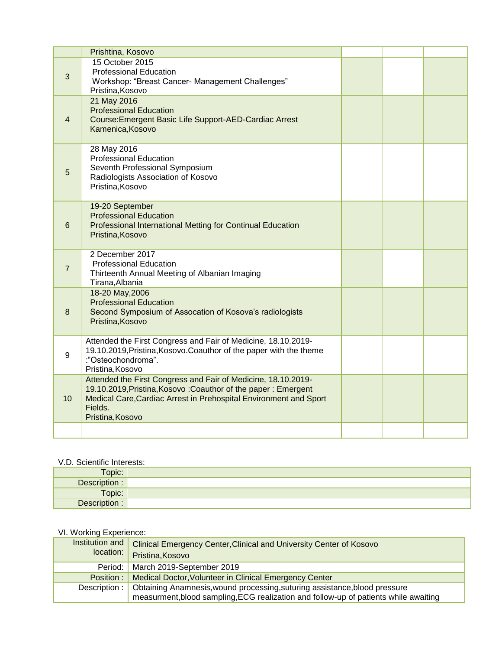|                | Prishtina, Kosovo                                                                                                                                                                                                                  |  |  |
|----------------|------------------------------------------------------------------------------------------------------------------------------------------------------------------------------------------------------------------------------------|--|--|
| 3              | 15 October 2015<br><b>Professional Education</b><br>Workshop: "Breast Cancer- Management Challenges"<br>Pristina, Kosovo                                                                                                           |  |  |
| 4              | 21 May 2016<br><b>Professional Education</b><br>Course: Emergent Basic Life Support-AED-Cardiac Arrest<br>Kamenica, Kosovo                                                                                                         |  |  |
| 5              | 28 May 2016<br><b>Professional Education</b><br>Seventh Professional Symposium<br>Radiologists Association of Kosovo<br>Pristina, Kosovo                                                                                           |  |  |
| 6              | 19-20 September<br><b>Professional Education</b><br>Professional International Metting for Continual Education<br>Pristina, Kosovo                                                                                                 |  |  |
| $\overline{7}$ | 2 December 2017<br><b>Professional Education</b><br>Thirteenth Annual Meeting of Albanian Imaging<br>Tirana, Albania                                                                                                               |  |  |
| 8              | 18-20 May, 2006<br><b>Professional Education</b><br>Second Symposium of Assocation of Kosova's radiologists<br>Pristina, Kosovo                                                                                                    |  |  |
| 9              | Attended the First Congress and Fair of Medicine, 18.10.2019-<br>19.10.2019, Pristina, Kosovo. Coauthor of the paper with the theme<br>:"Osteochondroma".<br>Pristina, Kosovo                                                      |  |  |
| 10             | Attended the First Congress and Fair of Medicine, 18.10.2019-<br>19.10.2019, Pristina, Kosovo: Coauthor of the paper: Emergent<br>Medical Care, Cardiac Arrest in Prehospital Environment and Sport<br>Fields.<br>Pristina, Kosovo |  |  |
|                |                                                                                                                                                                                                                                    |  |  |

# V.D. Scientific Interests:

| v.D. Ocionuno interests. |  |  |  |
|--------------------------|--|--|--|
| Topic:                   |  |  |  |
| Description :            |  |  |  |
| Topic:                   |  |  |  |
| Description :            |  |  |  |

# VI. Working Experience:

| Institution and<br>location: | <b>Clinical Emergency Center, Clinical and University Center of Kosovo</b><br>Pristina, Kosovo |
|------------------------------|------------------------------------------------------------------------------------------------|
| Period:                      | March 2019-September 2019                                                                      |
| Position:                    | Medical Doctor, Volunteer in Clinical Emergency Center                                         |
| Description:                 | Obtaining Anamnesis, wound processing, suturing assistance, blood pressure                     |
|                              | measurment, blood sampling, ECG realization and follow-up of patients while awaiting           |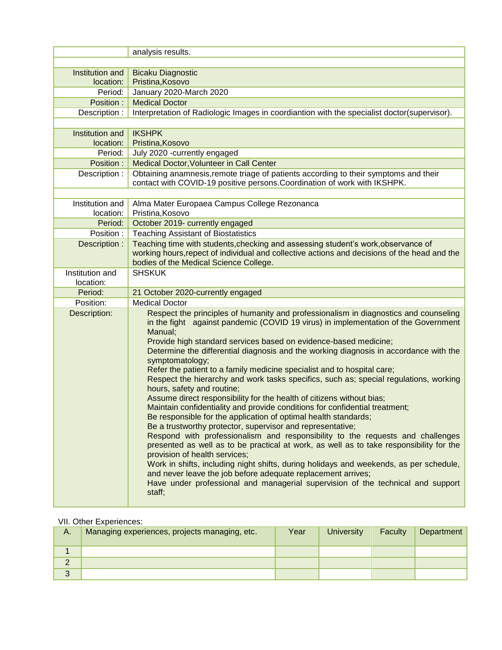|                      | analysis results.                                                                                                                      |
|----------------------|----------------------------------------------------------------------------------------------------------------------------------------|
|                      |                                                                                                                                        |
| Institution and      | <b>Bicaku Diagnostic</b>                                                                                                               |
| location:<br>Period: | Pristina, Kosovo                                                                                                                       |
| Position:            | January 2020-March 2020<br><b>Medical Doctor</b>                                                                                       |
| Description:         | Interpretation of Radiologic Images in coordiantion with the specialist doctor(supervisor).                                            |
|                      |                                                                                                                                        |
| Institution and      | <b>IKSHPK</b>                                                                                                                          |
| location:            | Pristina, Kosovo                                                                                                                       |
| Period:              | July 2020 -currently engaged                                                                                                           |
| Position :           | Medical Doctor, Volunteer in Call Center                                                                                               |
| Description :        | Obtaining anamnesis, remote triage of patients according to their symptoms and their                                                   |
|                      | contact with COVID-19 positive persons. Coordination of work with IKSHPK.                                                              |
|                      |                                                                                                                                        |
| Institution and      | Alma Mater Europaea Campus College Rezonanca                                                                                           |
| location:            | Pristina, Kosovo                                                                                                                       |
| Period:              | October 2019- currently engaged                                                                                                        |
| Position:            | <b>Teaching Assistant of Biostatistics</b>                                                                                             |
| Description :        | Teaching time with students, checking and assessing student's work, observance of                                                      |
|                      | working hours, repect of individual and collective actions and decisions of the head and the<br>bodies of the Medical Science College. |
| Institution and      | <b>SHSKUK</b>                                                                                                                          |
| location:            |                                                                                                                                        |
| Period:              | 21 October 2020-currently engaged                                                                                                      |
| Position:            | <b>Medical Doctor</b>                                                                                                                  |
| Description:         | Respect the principles of humanity and professionalism in diagnostics and counseling                                                   |
|                      | in the fight against pandemic (COVID 19 virus) in implementation of the Government                                                     |
|                      | Manual;                                                                                                                                |
|                      | Provide high standard services based on evidence-based medicine;                                                                       |
|                      | Determine the differential diagnosis and the working diagnosis in accordance with the                                                  |
|                      | symptomatology;                                                                                                                        |
|                      | Refer the patient to a family medicine specialist and to hospital care;                                                                |
|                      | Respect the hierarchy and work tasks specifics, such as; special regulations, working<br>hours, safety and routine;                    |
|                      | Assume direct responsibility for the health of citizens without bias;                                                                  |
|                      | Maintain confidentiality and provide conditions for confidential treatment;                                                            |
|                      | Be responsible for the application of optimal health standards;                                                                        |
|                      | Be a trustworthy protector, supervisor and representative;                                                                             |
|                      | Respond with professionalism and responsibility to the requests and challenges                                                         |
|                      | presented as well as to be practical at work, as well as to take responsibility for the                                                |
|                      | provision of health services;                                                                                                          |
|                      | Work in shifts, including night shifts, during holidays and weekends, as per schedule,                                                 |
|                      | and never leave the job before adequate replacement arrives;                                                                           |
|                      |                                                                                                                                        |
|                      | Have under professional and managerial supervision of the technical and support<br>staff;                                              |

### VII. Other Experiences:

| А.            | Managing experiences, projects managing, etc. | Year | <b>University</b> | Faculty | Department |
|---------------|-----------------------------------------------|------|-------------------|---------|------------|
|               |                                               |      |                   |         |            |
|               |                                               |      |                   |         |            |
| $\Omega$<br>ື |                                               |      |                   |         |            |